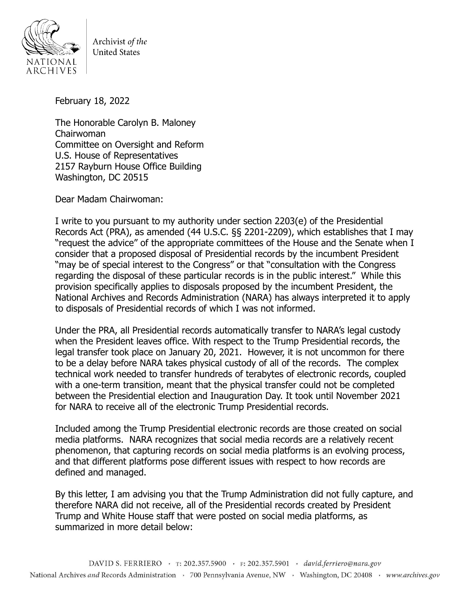

Archivist of the **United States** 

February 18, 2022

The Honorable Carolyn B. Maloney Chairwoman Committee on Oversight and Reform U.S. House of Representatives 2157 Rayburn House Office Building Washington, DC 20515

Dear Madam Chairwoman:

I write to you pursuant to my authority under section 2203(e) of the Presidential Records Act (PRA), as amended (44 U.S.C. §§ 2201-2209), which establishes that I may "request the advice" of the appropriate committees of the House and the Senate when I consider that a proposed disposal of Presidential records by the incumbent President "may be of special interest to the Congress" or that "consultation with the Congress regarding the disposal of these particular records is in the public interest." While this provision specifically applies to disposals proposed by the incumbent President, the National Archives and Records Administration (NARA) has always interpreted it to apply to disposals of Presidential records of which I was not informed.

Under the PRA, all Presidential records automatically transfer to NARA's legal custody when the President leaves office. With respect to the Trump Presidential records, the legal transfer took place on January 20, 2021. However, it is not uncommon for there to be a delay before NARA takes physical custody of all of the records. The complex technical work needed to transfer hundreds of terabytes of electronic records, coupled with a one-term transition, meant that the physical transfer could not be completed between the Presidential election and Inauguration Day. It took until November 2021 for NARA to receive all of the electronic Trump Presidential records.

Included among the Trump Presidential electronic records are those created on social media platforms. NARA recognizes that social media records are a relatively recent phenomenon, that capturing records on social media platforms is an evolving process, and that different platforms pose different issues with respect to how records are defined and managed.

By this letter, I am advising you that the Trump Administration did not fully capture, and therefore NARA did not receive, all of the Presidential records created by President Trump and White House staff that were posted on social media platforms, as summarized in more detail below: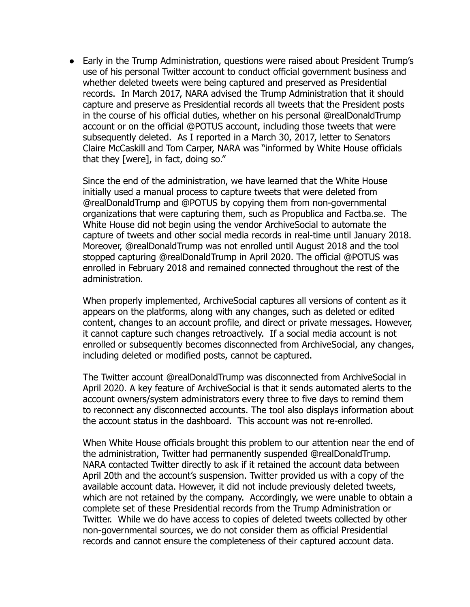● Early in the Trump Administration, questions were raised about President Trump's use of his personal Twitter account to conduct official government business and whether deleted tweets were being captured and preserved as Presidential records. In March 2017, NARA advised the Trump Administration that it should capture and preserve as Presidential records all tweets that the President posts in the course of his official duties, whether on his personal @realDonaldTrump account or on the official @POTUS account, including those tweets that were subsequently deleted. As I reported in a March 30, 2017, letter to Senators Claire McCaskill and Tom Carper, NARA was "informed by White House officials that they [were], in fact, doing so."

Since the end of the administration, we have learned that the White House initially used a manual process to capture tweets that were deleted from @realDonaldTrump and @POTUS by copying them from non-governmental organizations that were capturing them, such as Propublica and Factba.se. The White House did not begin using the vendor ArchiveSocial to automate the capture of tweets and other social media records in real-time until January 2018. Moreover, @realDonaldTrump was not enrolled until August 2018 and the tool stopped capturing @realDonaldTrump in April 2020. The official @POTUS was enrolled in February 2018 and remained connected throughout the rest of the administration.

When properly implemented, ArchiveSocial captures all versions of content as it appears on the platforms, along with any changes, such as deleted or edited content, changes to an account profile, and direct or private messages. However, it cannot capture such changes retroactively. If a social media account is not enrolled or subsequently becomes disconnected from ArchiveSocial, any changes, including deleted or modified posts, cannot be captured.

The Twitter account @realDonaldTrump was disconnected from ArchiveSocial in April 2020. A key feature of ArchiveSocial is that it sends automated alerts to the account owners/system administrators every three to five days to remind them to reconnect any disconnected accounts. The tool also displays information about the account status in the dashboard. This account was not re-enrolled.

When White House officials brought this problem to our attention near the end of the administration, Twitter had permanently suspended @realDonaldTrump. NARA contacted Twitter directly to ask if it retained the account data between April 20th and the account's suspension. Twitter provided us with a copy of the available account data. However, it did not include previously deleted tweets, which are not retained by the company. Accordingly, we were unable to obtain a complete set of these Presidential records from the Trump Administration or Twitter. While we do have access to copies of deleted tweets collected by other non-governmental sources, we do not consider them as official Presidential records and cannot ensure the completeness of their captured account data.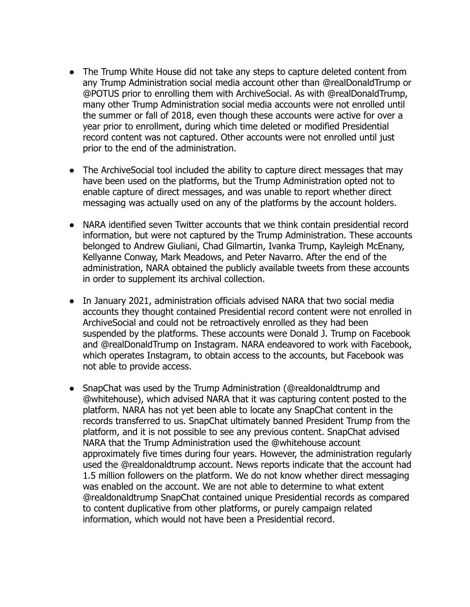- The Trump White House did not take any steps to capture deleted content from any Trump Administration social media account other than @realDonaldTrump or @POTUS prior to enrolling them with ArchiveSocial. As with @realDonaldTrump, many other Trump Administration social media accounts were not enrolled until the summer or fall of 2018, even though these accounts were active for over a year prior to enrollment, during which time deleted or modified Presidential record content was not captured. Other accounts were not enrolled until just prior to the end of the administration.
- The ArchiveSocial tool included the ability to capture direct messages that may have been used on the platforms, but the Trump Administration opted not to enable capture of direct messages, and was unable to report whether direct messaging was actually used on any of the platforms by the account holders.
- NARA identified seven Twitter accounts that we think contain presidential record information, but were not captured by the Trump Administration. These accounts belonged to Andrew Giuliani, Chad Gilmartin, Ivanka Trump, Kayleigh McEnany, Kellyanne Conway, Mark Meadows, and Peter Navarro. After the end of the administration, NARA obtained the publicly available tweets from these accounts in order to supplement its archival collection.
- In January 2021, administration officials advised NARA that two social media accounts they thought contained Presidential record content were not enrolled in ArchiveSocial and could not be retroactively enrolled as they had been suspended by the platforms. These accounts were Donald J. Trump on Facebook and @realDonaldTrump on Instagram. NARA endeavored to work with Facebook, which operates Instagram, to obtain access to the accounts, but Facebook was not able to provide access.
- SnapChat was used by the Trump Administration (@realdonaldtrump and @whitehouse), which advised NARA that it was capturing content posted to the platform. NARA has not yet been able to locate any SnapChat content in the records transferred to us. SnapChat ultimately banned President Trump from the platform, and it is not possible to see any previous content. SnapChat advised NARA that the Trump Administration used the @whitehouse account approximately five times during four years. However, the administration regularly used the @realdonaldtrump account. News reports indicate that the account had 1.5 million followers on the platform. We do not know whether direct messaging was enabled on the account. We are not able to determine to what extent @realdonaldtrump SnapChat contained unique Presidential records as compared to content duplicative from other platforms, or purely campaign related information, which would not have been a Presidential record.